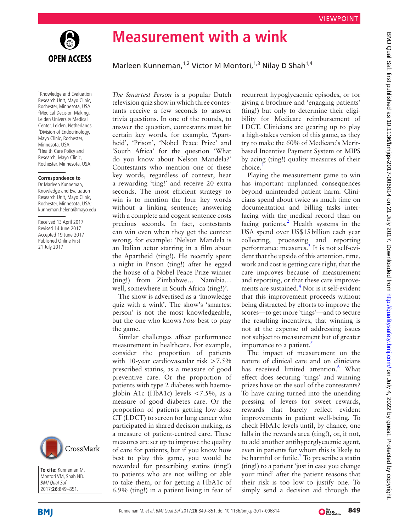

**Measurement with a wink**

Marleen Kunneman,<sup>1,2</sup> Victor M Montori,<sup>1,3</sup> Nilay D Shah<sup>1,4</sup>

<sup>1</sup> Knowledge and Evaluation Research Unit, Mayo Clinic, Rochester, Minnesota, USA <sup>2</sup>Medical Decision Making, Leiden University Medical Center, Leiden, Netherlands <sup>3</sup> Division of Endocrinology, Mayo Clinic, Rochester, Minnesota, USA 4 Health Care Policy and Research, Mayo Clinic, Rochester, Minnesota, USA

## **Correspondence to**

Dr Marleen Kunneman, Knowledge and Evaluation Research Unit, Mayo Clinic, Rochester, Minnesota, USA; kunneman.helena@mayo.edu

Received 13 April 2017 Revised 14 June 2017 Accepted 19 June 2017 Published Online First 21 July 2017



**To cite:** Kunneman M, Montori VM, Shah ND. BMJ Qual Saf 2017;**26**:849–851.

*The Smartest Person* is a popular Dutch television quiz show in which three contestants receive a few seconds to answer trivia questions. In one of the rounds, to answer the question, contestants must hit certain key words, for example, 'Apartheid', 'Prison', 'Nobel Peace Prize' and 'South Africa' for the question 'What do you know about Nelson Mandela?' Contestants who mention one of these key words, regardless of context, hear a rewarding 'ting!' and receive 20 extra seconds. The most efficient strategy to win is to mention the four key words without a linking sentence; answering with a complete and cogent sentence costs precious seconds. In fact, contestants can win even when they get the context wrong, for example: 'Nelson Mandela is an Italian actor starring in a film about the Apartheid (ting!). He recently spent a night in Prison (ting!) after he egged the house of a Nobel Peace Prize winner (ting!) from Zimbabwe… Namibia… well, somewhere in South Africa (ting!)'.

The show is advertised as a 'knowledge quiz with a wink'. The show's 'smartest person' is not the most knowledgeable, but the one who knows *how* best to play the game.

Similar challenges affect performance measurement in healthcare. For example, consider the proportion of patients with 10-year cardiovascular risk >7.5% prescribed statins, as a measure of good preventive care. Or the proportion of patients with type 2 diabetes with haemoglobin A1c (HbA1c) levels  $\lt$ 7.5%, as a measure of good diabetes care. Or the proportion of patients getting low-dose CT (LDCT) to screen for lung cancer who participated in shared decision making, as a measure of patient-centred care. These measures are set up to improve the quality of care for patients, but if you know how best to play this game, you would be rewarded for prescribing statins (ting!) to patients who are not willing or able to take them, or for getting a HbA1c of 6.9% (ting!) in a patient living in fear of

recurrent hypoglycaemic episodes, or for giving a brochure and 'engaging patients' (ting!) but only to determine their eligibility for Medicare reimbursement of LDCT. Clinicians are gearing up to play a high-stakes version of this game, as they try to make the 60% of Medicare's Meritbased Incentive Payment System or MIPS by acing (ting!) quality measures of their choice.

Playing the measurement game to win has important unplanned consequences beyond unintended patient harm. Clinicians spend about twice as much time on documentation and billing tasks interfacing with the medical record than on facing patients.<sup>2</sup> Health systems in the USA spend over US\$15billion each year collecting, processing and reporting performance measures.<sup>[3](#page-2-2)</sup> It is not self-evident that the upside of this attention, time, work and cost is getting care right, that the care improves because of measurement and reporting, or that these care improvements are sustained[.4](#page-2-3) Nor is it self-evident that this improvement proceeds without being distracted by efforts to improve the scores—to get more 'tings'—and to secure the resulting incentives, that winning is not at the expense of addressing issues not subject to measurement but of greater importance to a patient. $\frac{5}{5}$  $\frac{5}{5}$  $\frac{5}{5}$ 

The impact of measurement on the nature of clinical care and on clinicians has received limited attention.<sup>[6](#page-2-5)</sup> What effect does securing 'tings' and winning prizes have on the soul of the contestants? To have caring turned into the unending pressing of levers for sweet rewards, rewards that barely reflect evident improvements in patient well-being. To check HbA1c levels until, by chance, one falls in the rewards area (ting!), or, if not, to add another antihyperglycaemic agent, even in patients for whom this is likely to be harmful or futile.<sup>[7](#page-2-6)</sup> To prescribe a statin (ting!) to a patient 'just in case you change your mind' after the patient reasons that their risk is too low to justify one. To simply send a decision aid through the



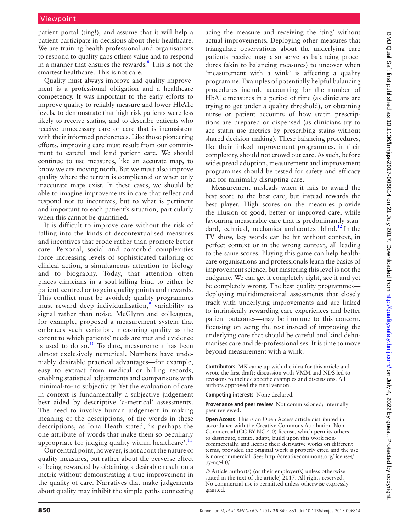patient portal (ting!), and assume that it will help a patient participate in decisions about their healthcare. We are training health professional and organisations to respond to quality gaps others value and to respond in a manner that ensures the rewards.<sup>[8](#page-2-7)</sup> This is not the smartest healthcare. This is not care.

Quality must always improve and quality improvement is a professional obligation and a healthcare competency. It was important to the early efforts to improve quality to reliably measure and lower HbA1c levels, to demonstrate that high-risk patients were less likely to receive statins, and to describe patients who receive unnecessary care or care that is inconsistent with their informed preferences. Like those pioneering efforts, improving care must result from our commitment to careful and kind patient care. We should continue to use measures, like an accurate map, to know we are moving north. But we must also improve quality where the terrain is complicated or when only inaccurate maps exist. In these cases, we should be able to imagine improvements in care that reflect and respond not to incentives, but to what is pertinent and important to each patient's situation, particularly when this cannot be quantified.

It is difficult to improve care without the risk of falling into the kinds of decontextualised measures and incentives that erode rather than promote better care. Personal, social and comorbid complexities force increasing levels of sophisticated tailoring of clinical action, a simultaneous attention to biology and to biography. Today, that attention often places clinicians in a soul-killing bind to either be patient-centred or to gain quality points and rewards. This conflict must be avoided; quality programmes must reward deep individualisation,<sup>[9](#page-2-8)</sup> variability as signal rather than noise. McGlynn and colleagues, for example, proposed a measurement system that embraces such variation, measuring quality as the extent to which patients' needs are met and evidence is used to do so.<sup>[10](#page-2-9)</sup> To date, measurement has been almost exclusively numerical. Numbers have undeniably desirable practical advantages—for example, easy to extract from medical or billing records, enabling statistical adjustments and comparisons with minimal-to-no subjectivity. Yet the evaluation of care in context is fundamentally a subjective judgement best aided by descriptive 'a-metrical' assessments. The need to involve human judgement in making meaning of the descriptions, of the words in these descriptions, as Iona Heath stated, 'is perhaps the one attribute of words that make them so peculiarly appropriate for judging quality within healthcare'.<sup>[11](#page-2-10)</sup>

Our central point, however, is not about the nature of quality measures, but rather about the perverse effect of being rewarded by obtaining a desirable result on a metric without demonstrating a true improvement in the quality of care. Narratives that make judgements about quality may inhibit the simple paths connecting acing the measure and receiving the 'ting' without actual improvements. Deploying other measures that triangulate observations about the underlying care patients receive may also serve as balancing procedures (akin to balancing measures) to uncover when 'measurement with a wink' is affecting a quality programme. Examples of potentially helpful balancing procedures include accounting for the number of HbA1c measures in a period of time (as clinicians are trying to get under a quality threshold), or obtaining nurse or patient accounts of how statin prescriptions are prepared or dispensed (as clinicians try to ace statin use metrics by prescribing stains without shared decision making). These balancing procedures, like their linked improvement programmes, in their complexity, should not crowd out care. As such, before widespread adoption, measurement and improvement programmes should be tested for safety and efficacy and for minimally disrupting care.

Measurement misleads when it fails to award the best score to the best care, but instead rewards the best player. High scores on the measures provide the illusion of good, better or improved care, while favouring measurable care that is predominantly stan-dard, technical, mechanical and context-blind.<sup>[12](#page-2-11)</sup> In the TV show, key words can be hit without context, in perfect context or in the wrong context, all leading to the same scores. Playing this game can help healthcare organisations and professionals learn the basics of improvement science, but mastering this level is not the endgame. We can get it completely right, ace it and yet be completely wrong. The best quality programmes deploying multidimensional assessments that closely track with underlying improvements and are linked to intrinsically rewarding care experiences and better patient outcomes—may be immune to this concern. Focusing on acing the test instead of improving the underlying care that should be careful and kind dehumanises care and de-professionalises. It is time to move beyond measurement with a wink.

**Contributors** MK came up with the idea for this article and wrote the first draft; discussion with VMM and NDS led to revisions to include specific examples and discussions. All authors approved the final version.

**Competing interests** None declared.

**Provenance and peer review** Not commissioned; internally peer reviewed.

**Open Access** This is an Open Access article distributed in accordance with the Creative Commons Attribution Non Commercial (CC BY-NC 4.0) license, which permits others to distribute, remix, adapt, build upon this work noncommercially, and license their derivative works on different terms, provided the original work is properly cited and the use is non-commercial. See: [http://creativecommons.org/licenses/](http://creativecommons.org/licenses/by-nc/4.0/) [by-nc/4.0/](http://creativecommons.org/licenses/by-nc/4.0/)

© Article author(s) (or their employer(s) unless otherwise stated in the text of the article) 2017. All rights reserved. No commercial use is permitted unless otherwise expressly granted.